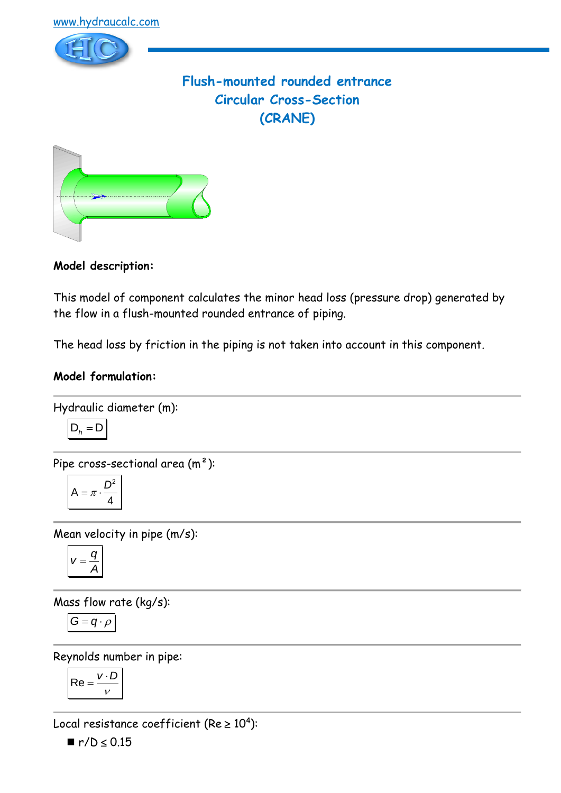

# **Flush-mounted rounded entrance Circular Cross-Section (CRANE)**



**Model description:**

This model of component calculates the minor head loss (pressure drop) generated by the flow in a flush-mounted rounded entrance of piping.

The head loss by friction in the piping is not taken into account in this component.

# **Model formulation:**

Hydraulic diameter (m):

$$
\boxed{\mathsf{D}_h = \mathsf{D}}
$$

Pipe cross-sectional area (m²):

$$
A = \pi \cdot \frac{D^2}{4}
$$

Mean velocity in pipe (m/s):

$$
V=\frac{q}{A}
$$

Mass flow rate (kg/s):

$$
G=q\cdot \rho
$$

Reynolds number in pipe:

$$
Re = \frac{v \cdot D}{v}
$$

Local resistance coefficient (Re  $\geq 10^4$ ):

 $\blacksquare$  r/ $D \le 0.15$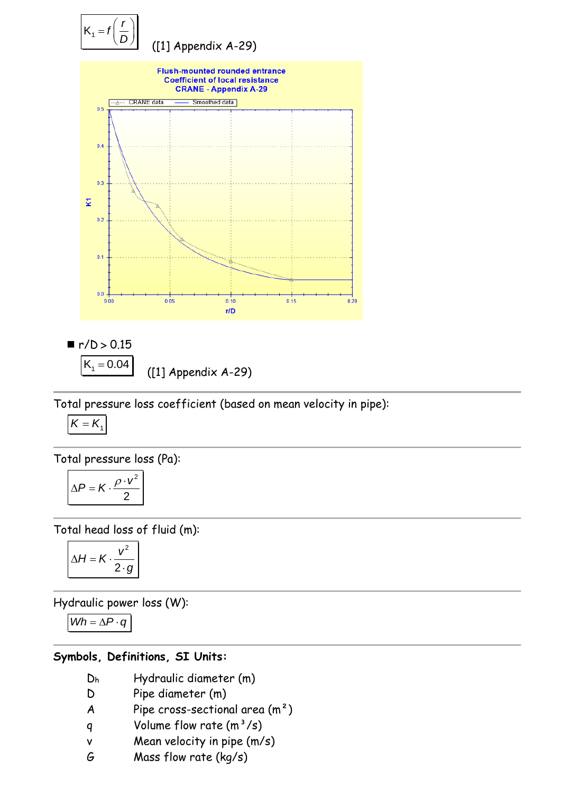

 $\blacksquare$  r/b > 0.15  $K_1 = 0.04$ ([1] Appendix A-29)

Total pressure loss coefficient (based on mean velocity in pipe):

$$
K=K_1
$$

Total pressure loss (Pa):

$$
\Delta P = K \cdot \frac{\rho \cdot v^2}{2}
$$

Total head loss of fluid (m):

$$
\Delta H = K \cdot \frac{v^2}{2 \cdot g}
$$

Hydraulic power loss (W):

$$
Wh = \Delta P \cdot q
$$

## **Symbols, Definitions, SI Units:**

- D<sup>h</sup> Hydraulic diameter (m)
- D Pipe diameter (m)
- A Pipe cross-sectional area  $(m<sup>2</sup>)$
- q Volume flow rate  $(m^3/s)$
- v Mean velocity in pipe (m/s)
- G Mass flow rate (kg/s)